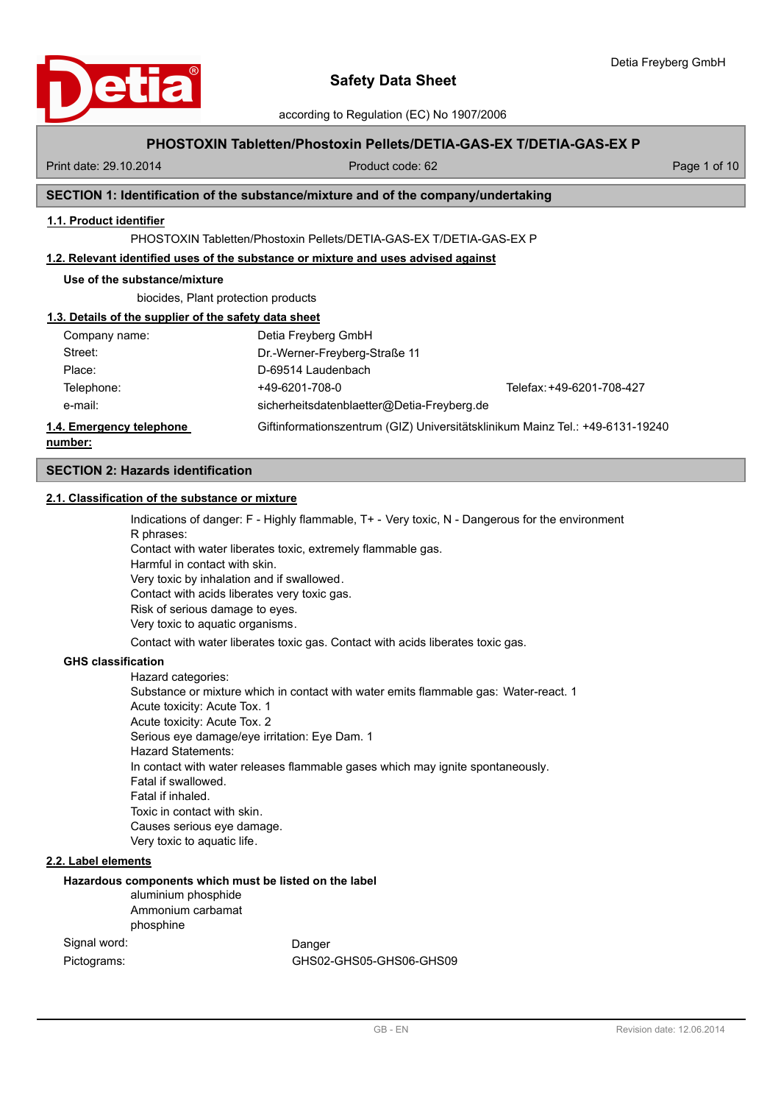according to Regulation (EC) No 1907/2006

## **PHOSTOXIN Tabletten/Phostoxin Pellets/DETIA-GAS-EX T/DETIA-GAS-EX P**

Print date: 29.10.2014 Product code: 62 Page 1 of 10

## **SECTION 1: Identification of the substance/mixture and of the company/undertaking**

## **1.1. Product identifier**

PHOSTOXIN Tabletten/Phostoxin Pellets/DETIA-GAS-EX T/DETIA-GAS-EX P

## **1.2. Relevant identified uses of the substance or mixture and uses advised against**

### **Use of the substance/mixture**

biocides, Plant protection products

#### **1.3. Details of the supplier of the safety data sheet**

| number:                  |                                            |                                                                               |
|--------------------------|--------------------------------------------|-------------------------------------------------------------------------------|
| 1.4. Emergency telephone |                                            | Giftinformationszentrum (GIZ) Universitätsklinikum Mainz Tel.: +49-6131-19240 |
| e-mail:                  | sicherheitsdatenblaetter@Detia-Freyberg.de |                                                                               |
| Telephone:               | +49-6201-708-0                             | Telefax: +49-6201-708-427                                                     |
| Place:                   | D-69514 Laudenbach                         |                                                                               |
| Street:                  | Dr.-Werner-Freyberg-Straße 11              |                                                                               |
| Company name:            | Detia Freyberg GmbH                        |                                                                               |

### **SECTION 2: Hazards identification**

## **2.1. Classification of the substance or mixture**

Indications of danger: F - Highly flammable, T+ - Very toxic, N - Dangerous for the environment R phrases: Contact with water liberates toxic, extremely flammable gas. Harmful in contact with skin. Very toxic by inhalation and if swallowed. Contact with acids liberates very toxic gas. Risk of serious damage to eyes. Very toxic to aquatic organisms. Contact with water liberates toxic gas. Contact with acids liberates toxic gas.

#### **GHS classification**

Hazard categories: Substance or mixture which in contact with water emits flammable gas: Water-react. 1 Acute toxicity: Acute Tox. 1 Acute toxicity: Acute Tox. 2 Serious eye damage/eye irritation: Eye Dam. 1 Hazard Statements: In contact with water releases flammable gases which may ignite spontaneously. Fatal if swallowed. Fatal if inhaled. Toxic in contact with skin. Causes serious eye damage. Very toxic to aquatic life.

### **2.2. Label elements**

#### **Hazardous components which must be listed on the label**

aluminium phosphide Ammonium carbamat phosphine

Signal word: Danger Pictograms: GHS02-GHS05-GHS06-GHS09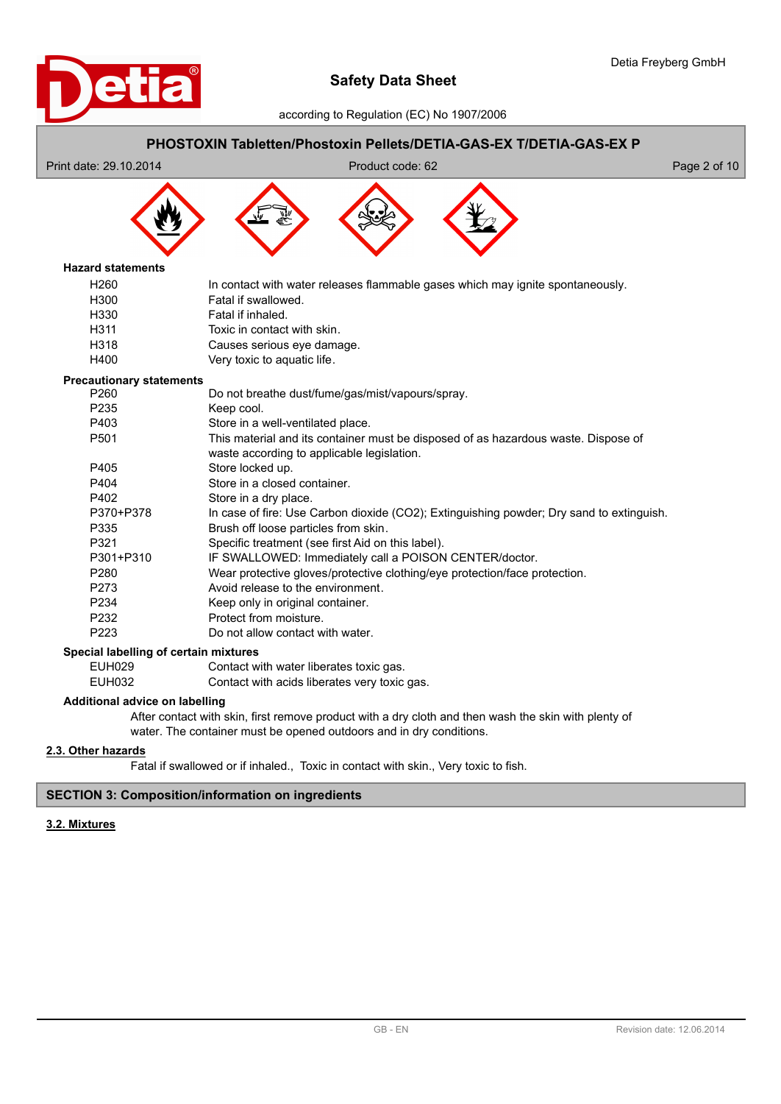



## **Additional advice on labelling**

After contact with skin, first remove product with a dry cloth and then wash the skin with plenty of water. The container must be opened outdoors and in dry conditions.

## **2.3. Other hazards**

Fatal if swallowed or if inhaled., Toxic in contact with skin., Very toxic to fish.

## **SECTION 3: Composition/information on ingredients**

## **3.2. Mixtures**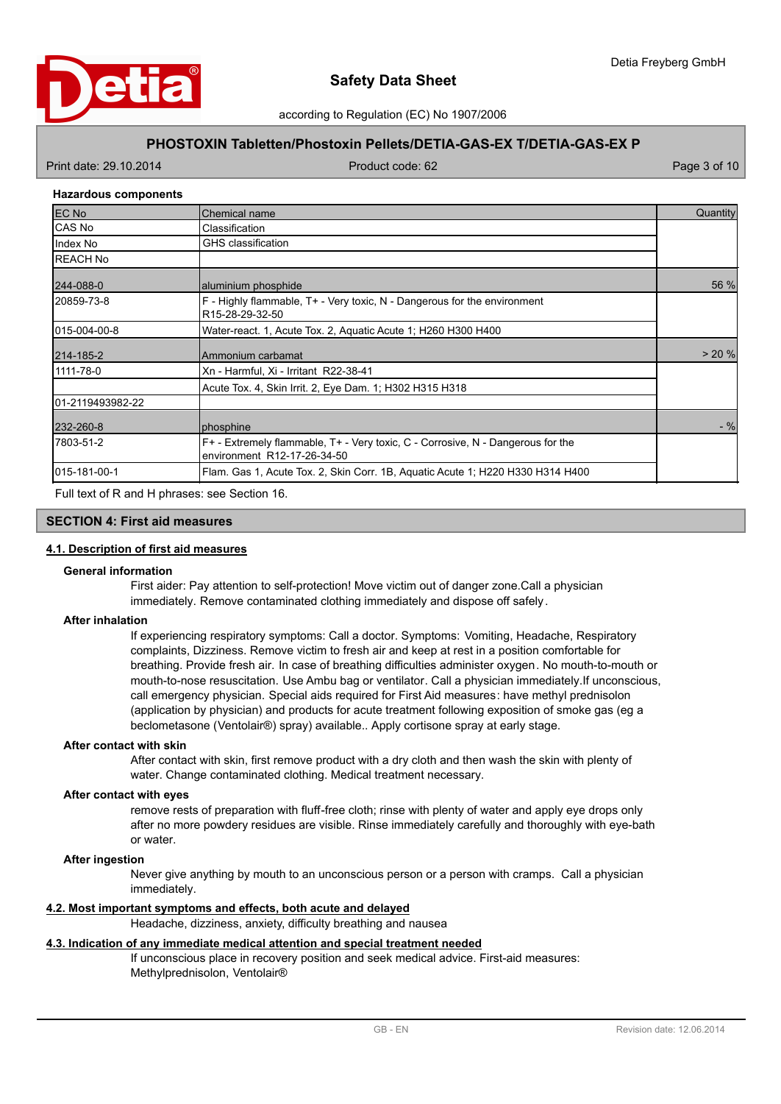

according to Regulation (EC) No 1907/2006

## **PHOSTOXIN Tabletten/Phostoxin Pellets/DETIA-GAS-EX T/DETIA-GAS-EX P**

Print date: 29.10.2014 Product code: 62 Page 3 of 10

### **Hazardous components**

| <b>EC No</b>      | Chemical name                                                                                                  | Quantity |
|-------------------|----------------------------------------------------------------------------------------------------------------|----------|
| ICAS No           | Classification                                                                                                 |          |
| Index No          | <b>GHS</b> classification                                                                                      |          |
| <b>IREACH No</b>  |                                                                                                                |          |
| 244-088-0         | aluminium phosphide                                                                                            | 56 %     |
| 20859-73-8        | F - Highly flammable, T+ - Very toxic, N - Dangerous for the environment<br>R15-28-29-32-50                    |          |
| 1015-004-00-8     | Water-react. 1, Acute Tox. 2, Aquatic Acute 1; H260 H300 H400                                                  |          |
| 214-185-2         | Ammonium carbamat                                                                                              | > 20%    |
| 1111-78-0         | Xn - Harmful, Xi - Irritant R22-38-41                                                                          |          |
|                   | Acute Tox. 4, Skin Irrit. 2, Eye Dam. 1; H302 H315 H318                                                        |          |
| 101-2119493982-22 |                                                                                                                |          |
| 232-260-8         | phosphine                                                                                                      | $-$ %    |
| 17803-51-2        | F+ - Extremely flammable, T+ - Very toxic, C - Corrosive, N - Dangerous for the<br>environment R12-17-26-34-50 |          |
| 015-181-00-1      | Flam. Gas 1, Acute Tox. 2, Skin Corr. 1B, Aquatic Acute 1: H220 H330 H314 H400                                 |          |

Full text of R and H phrases: see Section 16.

## **SECTION 4: First aid measures**

## **4.1. Description of first aid measures**

#### **General information**

First aider: Pay attention to self-protection! Move victim out of danger zone.Call a physician immediately. Remove contaminated clothing immediately and dispose off safely.

#### **After inhalation**

If experiencing respiratory symptoms: Call a doctor. Symptoms: Vomiting, Headache, Respiratory complaints, Dizziness. Remove victim to fresh air and keep at rest in a position comfortable for breathing. Provide fresh air. In case of breathing difficulties administer oxygen. No mouth-to-mouth or mouth-to-nose resuscitation. Use Ambu bag or ventilator. Call a physician immediately.If unconscious, call emergency physician. Special aids required for First Aid measures: have methyl prednisolon (application by physician) and products for acute treatment following exposition of smoke gas (eg a beclometasone (Ventolair®) spray) available.. Apply cortisone spray at early stage.

### **After contact with skin**

After contact with skin, first remove product with a dry cloth and then wash the skin with plenty of water. Change contaminated clothing. Medical treatment necessary.

### **After contact with eyes**

remove rests of preparation with fluff-free cloth; rinse with plenty of water and apply eye drops only after no more powdery residues are visible. Rinse immediately carefully and thoroughly with eye-bath or water.

#### **After ingestion**

Never give anything by mouth to an unconscious person or a person with cramps. Call a physician immediately.

### **4.2. Most important symptoms and effects, both acute and delayed**

Headache, dizziness, anxiety, difficulty breathing and nausea

## **4.3. Indication of any immediate medical attention and special treatment needed**

If unconscious place in recovery position and seek medical advice. First-aid measures: Methylprednisolon, Ventolair®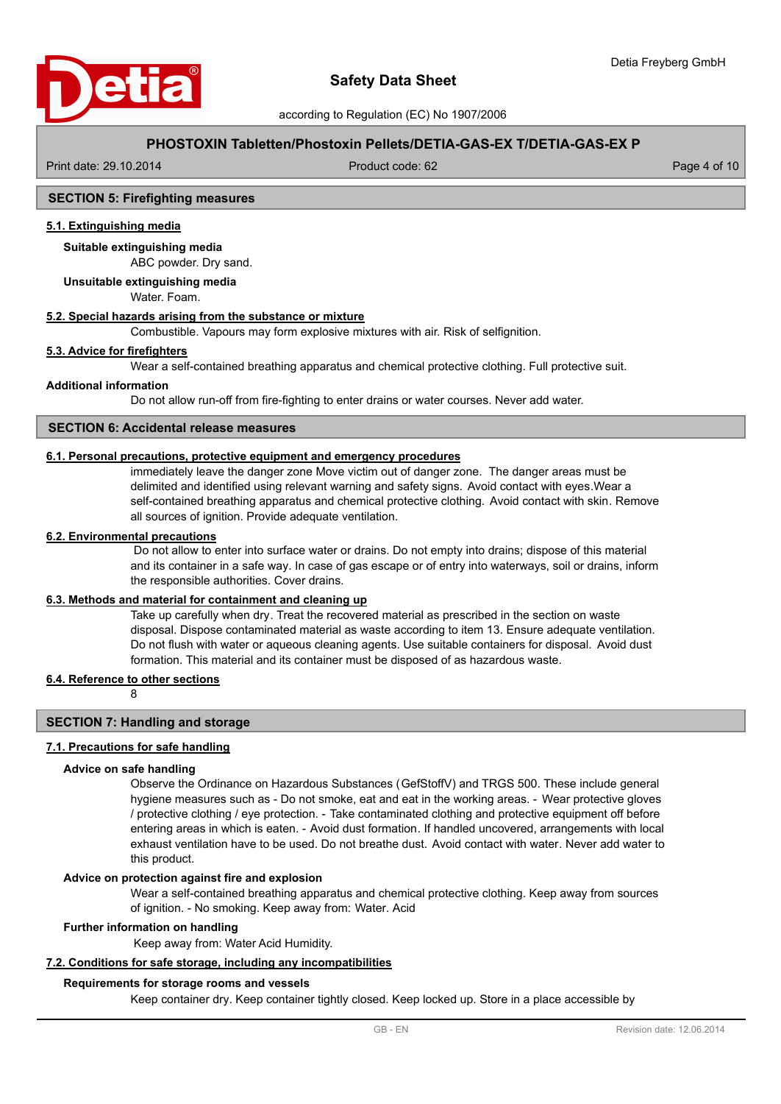

## **PHOSTOXIN Tabletten/Phostoxin Pellets/DETIA-GAS-EX T/DETIA-GAS-EX P**

Print date: 29.10.2014 Product code: 62 Page 4 of 10

## **SECTION 5: Firefighting measures**

## **5.1. Extinguishing media**

ABC powder. Dry sand. **Suitable extinguishing media**

## **Unsuitable extinguishing media**

Water. Foam.

## **5.2. Special hazards arising from the substance or mixture**

Combustible. Vapours may form explosive mixtures with air. Risk of selfignition.

## **5.3. Advice for firefighters**

Wear a self-contained breathing apparatus and chemical protective clothing. Full protective suit.

#### **Additional information**

Do not allow run-off from fire-fighting to enter drains or water courses. Never add water.

## **SECTION 6: Accidental release measures**

## **6.1. Personal precautions, protective equipment and emergency procedures**

immediately leave the danger zone Move victim out of danger zone. The danger areas must be delimited and identified using relevant warning and safety signs. Avoid contact with eyes.Wear a self-contained breathing apparatus and chemical protective clothing. Avoid contact with skin. Remove all sources of ignition. Provide adequate ventilation.

## **6.2. Environmental precautions**

 Do not allow to enter into surface water or drains. Do not empty into drains; dispose of this material and its container in a safe way. In case of gas escape or of entry into waterways, soil or drains, inform the responsible authorities. Cover drains.

#### **6.3. Methods and material for containment and cleaning up**

Take up carefully when dry. Treat the recovered material as prescribed in the section on waste disposal. Dispose contaminated material as waste according to item 13. Ensure adequate ventilation. Do not flush with water or aqueous cleaning agents. Use suitable containers for disposal. Avoid dust formation. This material and its container must be disposed of as hazardous waste.

#### **6.4. Reference to other sections**

8

### **SECTION 7: Handling and storage**

#### **7.1. Precautions for safe handling**

#### **Advice on safe handling**

Observe the Ordinance on Hazardous Substances (GefStoffV) and TRGS 500. These include general hygiene measures such as - Do not smoke, eat and eat in the working areas. - Wear protective gloves / protective clothing / eye protection. - Take contaminated clothing and protective equipment off before entering areas in which is eaten. - Avoid dust formation. If handled uncovered, arrangements with local exhaust ventilation have to be used. Do not breathe dust. Avoid contact with water. Never add water to this product.

#### **Advice on protection against fire and explosion**

Wear a self-contained breathing apparatus and chemical protective clothing. Keep away from sources of ignition. - No smoking. Keep away from: Water. Acid

## **Further information on handling**

Keep away from: Water Acid Humidity.

### **7.2. Conditions for safe storage, including any incompatibilities**

#### **Requirements for storage rooms and vessels**

Keep container dry. Keep container tightly closed. Keep locked up. Store in a place accessible by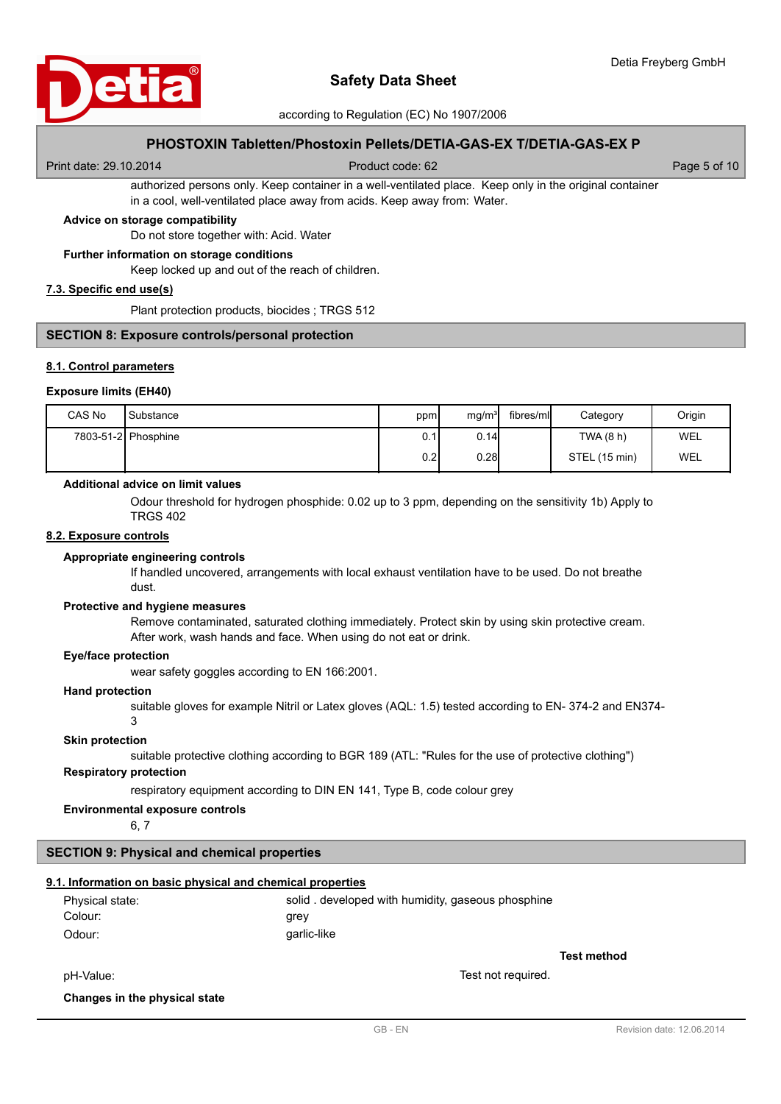

according to Regulation (EC) No 1907/2006

## **PHOSTOXIN Tabletten/Phostoxin Pellets/DETIA-GAS-EX T/DETIA-GAS-EX P**

Print date: 29.10.2014 Product code: 62 Page 5 of 10

authorized persons only. Keep container in a well-ventilated place. Keep only in the original container in a cool, well-ventilated place away from acids. Keep away from: Water.

## **Advice on storage compatibility**

Do not store together with: Acid. Water

#### **Further information on storage conditions**

Keep locked up and out of the reach of children.

## **7.3. Specific end use(s)**

Plant protection products, biocides ; TRGS 512

#### **SECTION 8: Exposure controls/personal protection**

#### **8.1. Control parameters**

#### **Exposure limits (EH40)**

| CAS No | Substance           | ppm  | mg/m <sup>3</sup> | fibres/ml | Category      | Origin |
|--------|---------------------|------|-------------------|-----------|---------------|--------|
|        | 7803-51-2 Phosphine | 0.1I | 0.14              |           | TWA (8 h)     | WEL    |
|        |                     | 0.21 | 0.28              |           | STEL (15 min) | WEL    |

#### **Additional advice on limit values**

Odour threshold for hydrogen phosphide: 0.02 up to 3 ppm, depending on the sensitivity 1b) Apply to TRGS 402

#### **8.2. Exposure controls**

#### **Appropriate engineering controls**

If handled uncovered, arrangements with local exhaust ventilation have to be used. Do not breathe dust.

#### **Protective and hygiene measures**

Remove contaminated, saturated clothing immediately. Protect skin by using skin protective cream. After work, wash hands and face. When using do not eat or drink.

#### **Eye/face protection**

wear safety goggles according to EN 166:2001.

#### **Hand protection**

suitable gloves for example Nitril or Latex gloves (AQL: 1.5) tested according to EN- 374-2 and EN374- 3

#### **Skin protection**

suitable protective clothing according to BGR 189 (ATL: "Rules for the use of protective clothing")

## **Respiratory protection**

respiratory equipment according to DIN EN 141, Type B, code colour grey

### **Environmental exposure controls**

6, 7

# **SECTION 9: Physical and chemical properties**

## **9.1. Information on basic physical and chemical properties**

| Physical state: | solid. developed with humidity, gaseous phosphine |
|-----------------|---------------------------------------------------|
| Colour:         | grev                                              |
| Odour:          | garlic-like                                       |

**Test method**

pH-Value: Test not required.

## **Changes in the physical state**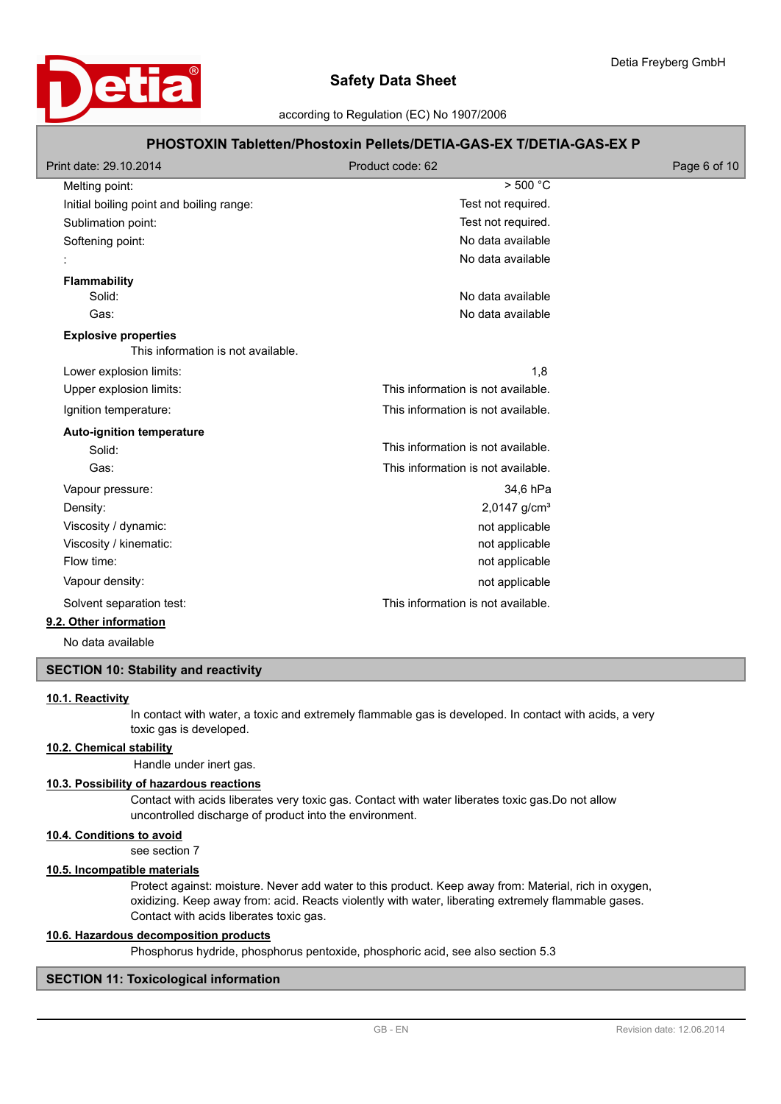

# **PHOSTOXIN Tabletten/Phostoxin Pellets/DETIA-GAS-EX T/DETIA-GAS-EX P**

| Print date: 29.10.2014                                            | Product code: 62                   | Page 6 of 10 |
|-------------------------------------------------------------------|------------------------------------|--------------|
| Melting point:                                                    | $>$ 500 °C                         |              |
| Initial boiling point and boiling range:                          | Test not required.                 |              |
| Sublimation point:                                                | Test not required.                 |              |
| Softening point:                                                  | No data available                  |              |
|                                                                   | No data available                  |              |
| <b>Flammability</b>                                               |                                    |              |
| Solid:                                                            | No data available                  |              |
| Gas:                                                              | No data available                  |              |
| <b>Explosive properties</b><br>This information is not available. |                                    |              |
| Lower explosion limits:                                           | 1,8                                |              |
| Upper explosion limits:                                           | This information is not available. |              |
| Ignition temperature:                                             | This information is not available. |              |
| <b>Auto-ignition temperature</b>                                  |                                    |              |
| Solid:                                                            | This information is not available. |              |
| Gas:                                                              | This information is not available. |              |
| Vapour pressure:                                                  | 34,6 hPa                           |              |
| Density:                                                          | 2,0147 g/cm <sup>3</sup>           |              |
| Viscosity / dynamic:                                              | not applicable                     |              |
| Viscosity / kinematic:                                            | not applicable                     |              |
| Flow time:                                                        | not applicable                     |              |
| Vapour density:                                                   | not applicable                     |              |
| Solvent separation test:                                          | This information is not available. |              |
| 9.2. Other information                                            |                                    |              |

No data available

# **SECTION 10: Stability and reactivity**

### **10.1. Reactivity**

In contact with water, a toxic and extremely flammable gas is developed. In contact with acids, a very toxic gas is developed.

## **10.2. Chemical stability**

Handle under inert gas.

#### **10.3. Possibility of hazardous reactions**

Contact with acids liberates very toxic gas. Contact with water liberates toxic gas.Do not allow uncontrolled discharge of product into the environment.

## **10.4. Conditions to avoid**

see section 7

# **10.5. Incompatible materials**

Protect against: moisture. Never add water to this product. Keep away from: Material, rich in oxygen, oxidizing. Keep away from: acid. Reacts violently with water, liberating extremely flammable gases. Contact with acids liberates toxic gas.

### **10.6. Hazardous decomposition products**

Phosphorus hydride, phosphorus pentoxide, phosphoric acid, see also section 5.3

## **SECTION 11: Toxicological information**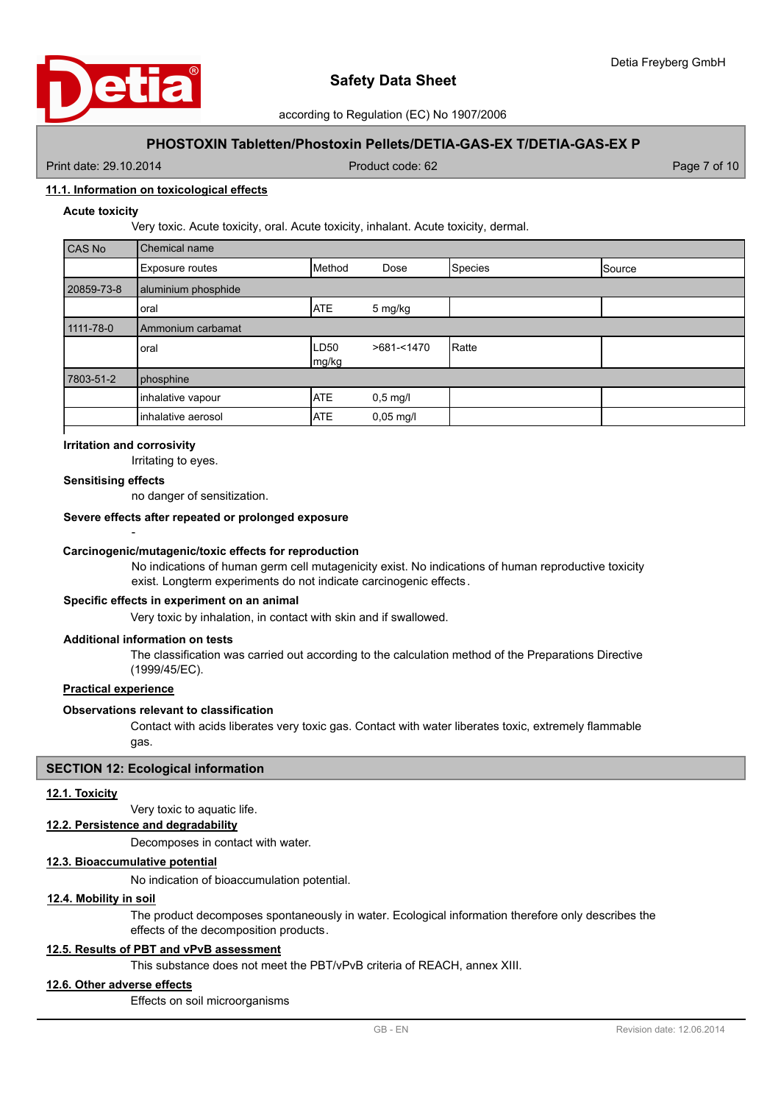

## **PHOSTOXIN Tabletten/Phostoxin Pellets/DETIA-GAS-EX T/DETIA-GAS-EX P**

Print date: 29.10.2014 Product code: 62 Page 7 of 10

## **11.1. Information on toxicological effects**

### **Acute toxicity**

Very toxic. Acute toxicity, oral. Acute toxicity, inhalant. Acute toxicity, dermal.

| CAS No     | Chemical name       |                      |             |         |        |
|------------|---------------------|----------------------|-------------|---------|--------|
|            | Exposure routes     | Method               | Dose        | Species | Source |
| 20859-73-8 | aluminium phosphide |                      |             |         |        |
|            | oral                | <b>ATE</b>           | 5 mg/kg     |         |        |
| 1111-78-0  | IAmmonium carbamat  |                      |             |         |        |
|            | loral               | <b>LD50</b><br>mg/kg | >681-<1470  | Ratte   |        |
| 7803-51-2  | phosphine           |                      |             |         |        |
|            | inhalative vapour   | <b>ATE</b>           | $0,5$ mg/l  |         |        |
|            | inhalative aerosol  | <b>ATE</b>           | $0,05$ mg/l |         |        |
|            |                     |                      |             |         |        |

## **Irritation and corrosivity**

-

Irritating to eyes.

#### **Sensitising effects**

no danger of sensitization.

#### **Severe effects after repeated or prolonged exposure**

#### **Carcinogenic/mutagenic/toxic effects for reproduction**

No indications of human germ cell mutagenicity exist. No indications of human reproductive toxicity exist. Longterm experiments do not indicate carcinogenic effects.

## **Specific effects in experiment on an animal**

Very toxic by inhalation, in contact with skin and if swallowed.

## **Additional information on tests**

The classification was carried out according to the calculation method of the Preparations Directive (1999/45/EC).

# **Practical experience**

### **Observations relevant to classification**

Contact with acids liberates very toxic gas. Contact with water liberates toxic, extremely flammable gas.

#### **SECTION 12: Ecological information**

## **12.1. Toxicity**

Very toxic to aquatic life.

## **12.2. Persistence and degradability**

Decomposes in contact with water.

#### **12.3. Bioaccumulative potential**

No indication of bioaccumulation potential.

#### **12.4. Mobility in soil**

The product decomposes spontaneously in water. Ecological information therefore only describes the effects of the decomposition products.

#### **12.5. Results of PBT and vPvB assessment**

This substance does not meet the PBT/vPvB criteria of REACH, annex XIII.

### **12.6. Other adverse effects**

Effects on soil microorganisms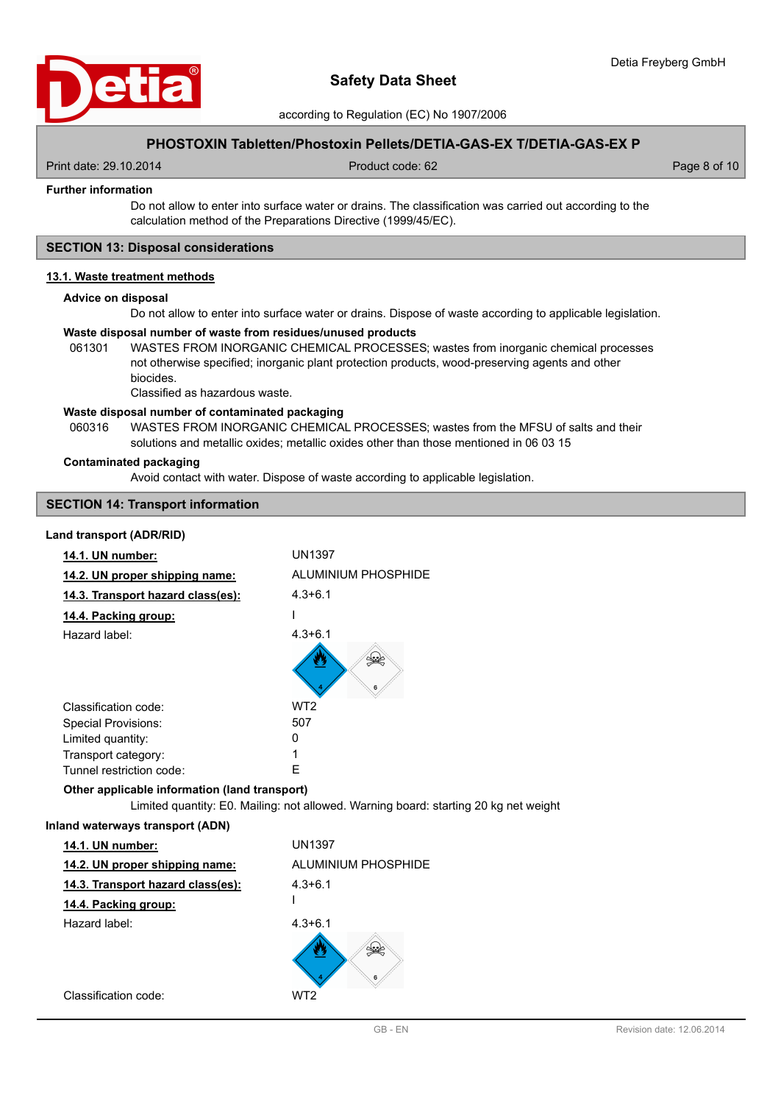

according to Regulation (EC) No 1907/2006

## **PHOSTOXIN Tabletten/Phostoxin Pellets/DETIA-GAS-EX T/DETIA-GAS-EX P**

Print date: 29.10.2014 Product code: 62 Page 8 of 10

### **Further information**

Do not allow to enter into surface water or drains. The classification was carried out according to the calculation method of the Preparations Directive (1999/45/EC).

## **SECTION 13: Disposal considerations**

## **13.1. Waste treatment methods**

#### **Advice on disposal**

Do not allow to enter into surface water or drains. Dispose of waste according to applicable legislation.

#### **Waste disposal number of waste from residues/unused products**

061301 WASTES FROM INORGANIC CHEMICAL PROCESSES; wastes from inorganic chemical processes not otherwise specified; inorganic plant protection products, wood-preserving agents and other biocides.

Classified as hazardous waste.

#### **Waste disposal number of contaminated packaging**

WASTES FROM INORGANIC CHEMICAL PROCESSES; wastes from the MFSU of salts and their solutions and metallic oxides; metallic oxides other than those mentioned in 06 03 15 060316

#### **Contaminated packaging**

Avoid contact with water. Dispose of waste according to applicable legislation.

## **SECTION 14: Transport information**

### **Land transport (ADR/RID)**

| 14.1. UN number:                              | <b>UN1397</b>                                                                        |
|-----------------------------------------------|--------------------------------------------------------------------------------------|
| 14.2. UN proper shipping name:                | ALUMINIUM PHOSPHIDE                                                                  |
| 14.3. Transport hazard class(es):             | $4.3 + 6.1$                                                                          |
| 14.4. Packing group:                          |                                                                                      |
| Hazard label:                                 | $4.3 + 6.1$                                                                          |
|                                               |                                                                                      |
| Classification code:                          | WT <sub>2</sub>                                                                      |
| <b>Special Provisions:</b>                    | 507                                                                                  |
| Limited quantity:                             | 0                                                                                    |
| Transport category:                           | 1                                                                                    |
| Tunnel restriction code:                      | F                                                                                    |
| Other applicable information (land transport) | Limited quantity: E0. Mailing: not allowed. Warning board: starting 20 kg net weight |
| Inland waterways transport (ADN)              |                                                                                      |
| 14.1. UN number:                              | <b>UN1397</b>                                                                        |
| 14.2. UN proper shipping name:                | ALUMINIUM PHOSPHIDE                                                                  |
| 14.3. Transport hazard class(es):             | $4.3 + 6.1$                                                                          |
| 14.4. Packing group:                          |                                                                                      |
| Hazard label:                                 | $4.3 + 6.1$                                                                          |
|                                               | طعنكه                                                                                |
| Classification code:                          | WT <sub>2</sub>                                                                      |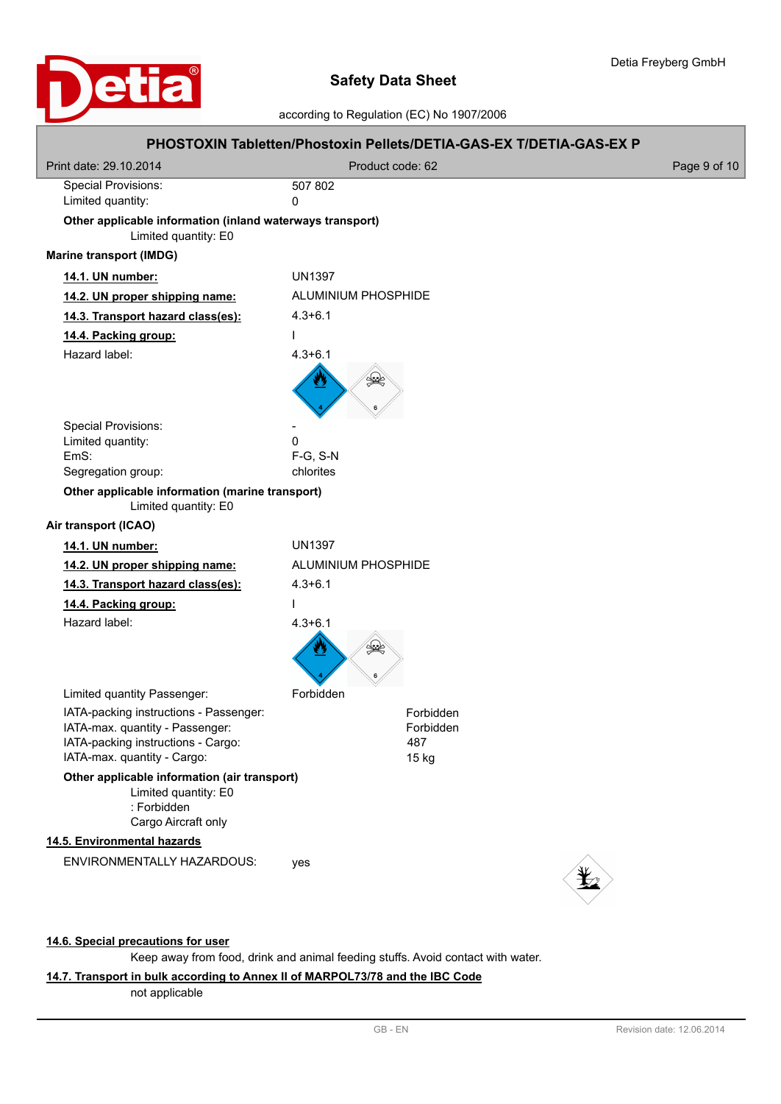

# according to Regulation (EC) No 1907/2006

|                                                                                                                                                |                            | PHOSTOXIN Tabletten/Phostoxin Pellets/DETIA-GAS-EX T/DETIA-GAS-EX P |              |
|------------------------------------------------------------------------------------------------------------------------------------------------|----------------------------|---------------------------------------------------------------------|--------------|
| Print date: 29.10.2014                                                                                                                         | Product code: 62           |                                                                     | Page 9 of 10 |
| <b>Special Provisions:</b><br>Limited quantity:                                                                                                | 507 802<br>0               |                                                                     |              |
| Other applicable information (inland waterways transport)<br>Limited quantity: E0                                                              |                            |                                                                     |              |
| <b>Marine transport (IMDG)</b>                                                                                                                 |                            |                                                                     |              |
| 14.1. UN number:                                                                                                                               | <b>UN1397</b>              |                                                                     |              |
| 14.2. UN proper shipping name:                                                                                                                 | <b>ALUMINIUM PHOSPHIDE</b> |                                                                     |              |
| 14.3. Transport hazard class(es):                                                                                                              | $4.3 + 6.1$                |                                                                     |              |
| 14.4. Packing group:                                                                                                                           | $\mathbf{I}$               |                                                                     |              |
| Hazard label:                                                                                                                                  | $4.3 + 6.1$                |                                                                     |              |
|                                                                                                                                                | $\mathbb{R}$               |                                                                     |              |
| <b>Special Provisions:</b>                                                                                                                     |                            |                                                                     |              |
| Limited quantity:<br>EmS:                                                                                                                      | 0<br>F-G, S-N              |                                                                     |              |
| Segregation group:                                                                                                                             | chlorites                  |                                                                     |              |
| Other applicable information (marine transport)<br>Limited quantity: E0                                                                        |                            |                                                                     |              |
| Air transport (ICAO)                                                                                                                           |                            |                                                                     |              |
| 14.1. UN number:                                                                                                                               | <b>UN1397</b>              |                                                                     |              |
| 14.2. UN proper shipping name:                                                                                                                 | <b>ALUMINIUM PHOSPHIDE</b> |                                                                     |              |
| 14.3. Transport hazard class(es):                                                                                                              | $4.3 + 6.1$                |                                                                     |              |
| 14.4. Packing group:                                                                                                                           | $\mathbf{I}$               |                                                                     |              |
| Hazard label:                                                                                                                                  | $4.3 + 6.1$                |                                                                     |              |
| Limited quantity Passenger:                                                                                                                    | Forbidden                  |                                                                     |              |
| IATA-packing instructions - Passenger:<br>IATA-max. quantity - Passenger:<br>IATA-packing instructions - Cargo:<br>IATA-max. quantity - Cargo: |                            | Forbidden<br>Forbidden<br>487<br>15 kg                              |              |
| Other applicable information (air transport)<br>Limited quantity: E0<br>: Forbidden<br>Cargo Aircraft only                                     |                            |                                                                     |              |
| 14.5. Environmental hazards                                                                                                                    |                            |                                                                     |              |
| ENVIRONMENTALLY HAZARDOUS:                                                                                                                     | yes                        |                                                                     |              |

## **14.6. Special precautions for user**

Keep away from food, drink and animal feeding stuffs. Avoid contact with water.

## **14.7. Transport in bulk according to Annex II of MARPOL73/78 and the IBC Code**

not applicable